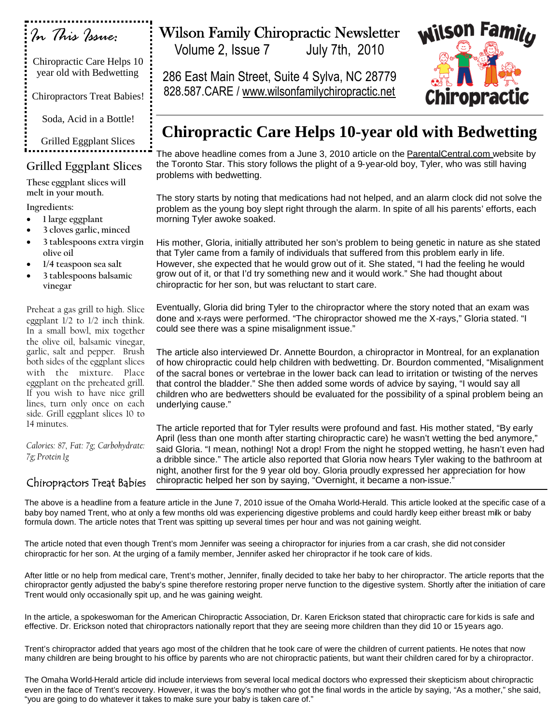| . In This Issue:                                       |  |
|--------------------------------------------------------|--|
| Chiropractic Care Helps 10<br>year old with Bedwetting |  |
| <b>Chiropractors Treat Babies!</b>                     |  |
| Soda, Acid in a Bottle!                                |  |
| <b>Grilled Eggplant Slices</b>                         |  |
| Grilled Eggplant Slices                                |  |

**These eggplant slices will melt in your mouth.**

**Ingredients:**

- **1 large eggplant**
- **3 cloves garlic, minced**
- **3 tablespoons extra virgin olive oil**
- **1/4 teaspoon sea salt**
- **3 tablespoons balsamic vinegar**

Preheat a gas grill to high. Slice eggplant 1/2 to 1/2 inch think. In a small bowl, mix together the olive oil, balsamic vinegar, garlic, salt and pepper. Brush both sides of the eggplant slices with the mixture. Place eggplant on the preheated grill. If you wish to have nice grill lines, turn only once on each side. Grill eggplant slices 10 to 14 minutes.

*Calories: 87, Fat: 7g; Carbohydrate: 7g; Protein 1g*

## Chiropractors Treat Babies

## Wilson Family Chiropractic Newsletter

Volume 2, Issue 7 July 7th, 2010

286 East Main Street, Suite 4 Sylva, NC 28779 828.587.CARE / www.wilsonfamilychiropractic.net



## **Chiropractic Care Helps 10-year old with Bedwetting**

The above headline comes from a June 3, 2010 article on the ParentalCentral.com website by the Toronto Star. This story follows the plight of a 9-year-old boy, Tyler, who was still having problems with bedwetting.

The story starts by noting that medications had not helped, and an alarm clock did not solve the problem as the young boy slept right through the alarm. In spite of all his parents' efforts, each morning Tyler awoke soaked.

His mother, Gloria, initially attributed her son's problem to being genetic in nature as she stated that Tyler came from a family of individuals that suffered from this problem early in life. However, she expected that he would grow out of it. She stated, "I had the feeling he would grow out of it, or that I'd try something new and it would work." She had thought about chiropractic for her son, but was reluctant to start care.

Eventually, Gloria did bring Tyler to the chiropractor where the story noted that an exam was done and x-rays were performed. "The chiropractor showed me the X-rays," Gloria stated. "I could see there was a spine misalignment issue."

The article also interviewed Dr. Annette Bourdon, a chiropractor in Montreal, for an explanation of how chiropractic could help children with bedwetting. Dr. Bourdon commented, "Misalignment of the sacral bones or vertebrae in the lower back can lead to irritation or twisting of the nerves that control the bladder." She then added some words of advice by saying, "I would say all children who are bedwetters should be evaluated for the possibility of a spinal problem being an underlying cause."

The article reported that for Tyler results were profound and fast. His mother stated, "By early April (less than one month after starting chiropractic care) he wasn't wetting the bed anymore," said Gloria. "I mean, nothing! Not a drop! From the night he stopped wetting, he hasn't even had a dribble since." The article also reported that Gloria now hears Tyler waking to the bathroom at night, another first for the 9 year old boy. Gloria proudly expressed her appreciation for how chiropractic helped her son by saying, "Overnight, it became a non-issue."

The above is a headline from a feature article in the June 7, 2010 issue of the Omaha World-Herald. This article looked at the specific case of a baby boy named Trent, who at only a few months old was experiencing digestive problems and could hardly keep either breast milk or baby formula down. The article notes that Trent was spitting up several times per hour and was not gaining weight.

The article noted that even though Trent's mom Jennifer was seeing a chiropractor for injuries from a car crash, she did not consider chiropractic for her son. At the urging of a family member, Jennifer asked her chiropractor if he took care of kids.

After little or no help from medical care, Trent's mother, Jennifer, finally decided to take her baby to her chiropractor. The article reports that the chiropractor gently adjusted the baby's spine therefore restoring proper nerve function to the digestive system. Shortly after the initiation of care Trent would only occasionally spit up, and he was gaining weight.

In the article, a spokeswoman for the American Chiropractic Association, Dr. Karen Erickson stated that chiropractic care for kids is safe and effective. Dr. Erickson noted that chiropractors nationally report that they are seeing more children than they did 10 or 15 years ago.

Trent's chiropractor added that years ago most of the children that he took care of were the children of current patients. He notes that now many children are being brought to his office by parents who are not chiropractic patients, but want their children cared for by a chiropractor.

The Omaha World-Herald article did include interviews from several local medical doctors who expressed their skepticism about chiropractic even in the face of Trent's recovery. However, it was the boy's mother who got the final words in the article by saying, "As a mother," she said, "you are going to do whatever it takes to make sure your baby is taken care of."